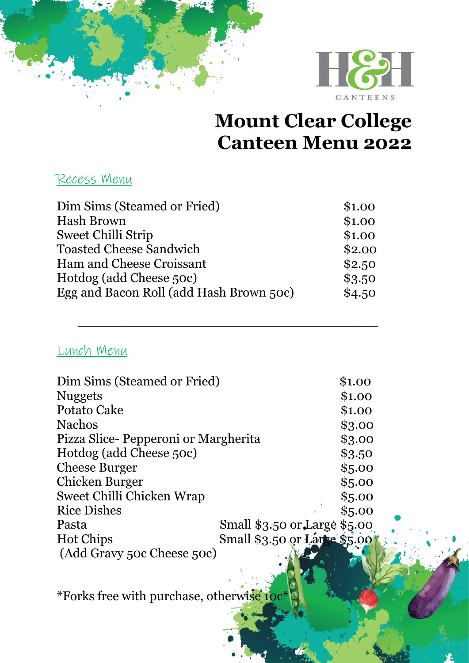

### **Mount Clear College Canteen Menu 2022**

#### Recess Menu

| Dim Sims (Steamed or Fried)             | \$1.00 |
|-----------------------------------------|--------|
| <b>Hash Brown</b>                       | \$1.00 |
| <b>Sweet Chilli Strip</b>               | \$1.00 |
| <b>Toasted Cheese Sandwich</b>          | \$2.00 |
| Ham and Cheese Croissant                | \$2.50 |
| Hotdog (add Cheese 50c)                 | \$3.50 |
| Egg and Bacon Roll (add Hash Brown 50c) | \$4.50 |

 $\overline{\phantom{a}}$  , and the contract of the contract of the contract of the contract of the contract of the contract of the contract of the contract of the contract of the contract of the contract of the contract of the contrac

#### Lunch Menu

| Dim Sims (Steamed or Fried)           |                              | \$1.00 |
|---------------------------------------|------------------------------|--------|
| <b>Nuggets</b>                        |                              | \$1.00 |
| Potato Cake                           |                              | \$1.00 |
| <b>Nachos</b>                         |                              | \$3.00 |
| Pizza Slice - Pepperoni or Margherita |                              | \$3.00 |
| Hotdog (add Cheese 50c)               |                              | \$3.50 |
| <b>Cheese Burger</b>                  |                              | \$5.00 |
| Chicken Burger                        |                              | \$5.00 |
| Sweet Chilli Chicken Wrap             |                              | \$5.00 |
| <b>Rice Dishes</b>                    |                              | \$5.00 |
| Pasta                                 | Small \$3.50 or Large \$5.00 |        |
| <b>Hot Chips</b>                      | Small \$3.50 or Large \$5.00 |        |
| (Add Gravy 50c Cheese 50c)            |                              |        |

\*Forks free with purchase, otherwise 10c\*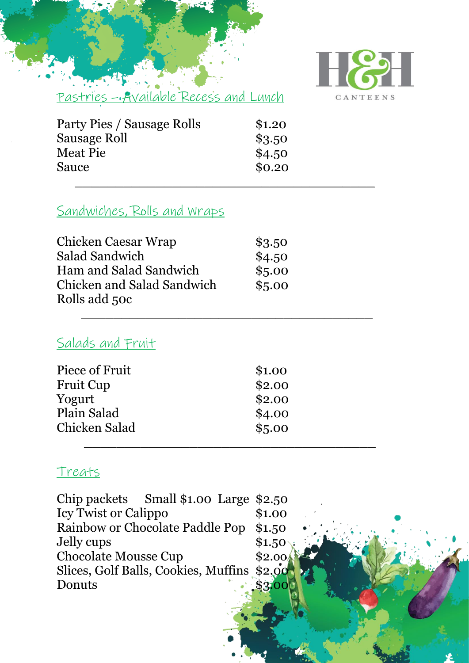

Pastries – Available Recess and Lunch

| Party Pies / Sausage Rolls | \$1.20 |
|----------------------------|--------|
| Sausage Roll               | \$3.50 |
| <b>Meat Pie</b>            | \$4.50 |
| Sauce                      | \$0.20 |
|                            |        |

#### Sandwiches, Rolls and Wraps

| Chicken Caesar Wrap               | \$3.50 |
|-----------------------------------|--------|
| Salad Sandwich                    | \$4.50 |
| Ham and Salad Sandwich            | \$5.00 |
| <b>Chicken and Salad Sandwich</b> | \$5.00 |
| Rolls add 50c                     |        |

 $\frac{1}{2}$  ,  $\frac{1}{2}$  ,  $\frac{1}{2}$  ,  $\frac{1}{2}$  ,  $\frac{1}{2}$  ,  $\frac{1}{2}$  ,  $\frac{1}{2}$  ,  $\frac{1}{2}$  ,  $\frac{1}{2}$  ,  $\frac{1}{2}$  ,  $\frac{1}{2}$  ,  $\frac{1}{2}$  ,  $\frac{1}{2}$  ,  $\frac{1}{2}$  ,  $\frac{1}{2}$  ,  $\frac{1}{2}$  ,  $\frac{1}{2}$  ,  $\frac{1}{2}$  ,  $\frac{1$ 

#### Salads and Fruit

| Piece of Fruit   | \$1.00 |
|------------------|--------|
| <b>Fruit Cup</b> | \$2.00 |
| Yogurt           | \$2.00 |
| Plain Salad      | \$4.00 |
| Chicken Salad    | \$5.00 |
|                  |        |

#### Treats

| Chip packets Small $$1.00$ Large $$2.50$    |        |
|---------------------------------------------|--------|
| <b>Icy Twist or Calippo</b>                 | \$1.00 |
| Rainbow or Chocolate Paddle Pop             | \$1.50 |
| Jelly cups                                  | \$1.50 |
| <b>Chocolate Mousse Cup</b>                 | \$2.00 |
| Slices, Golf Balls, Cookies, Muffins \$2,00 |        |
| Donuts                                      |        |
|                                             |        |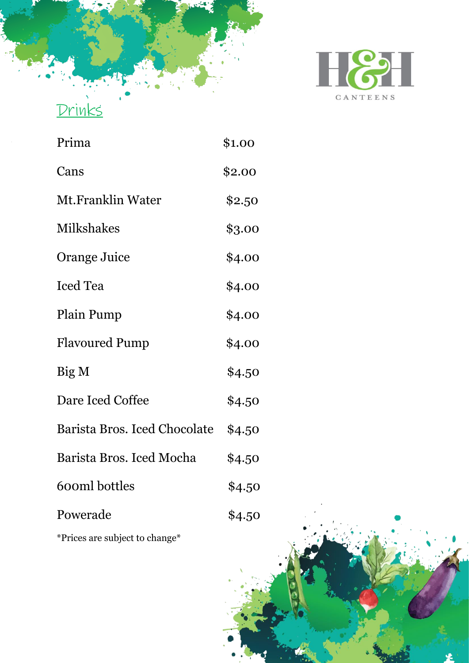

## Prima \$1.00 Cans \$2.00 Mt.Franklin Water \$2.50 Milkshakes \$3.00 Orange Juice \$4.00 Iced Tea  $$4.00$ Plain Pump \$4.00 Flavoured Pump \$4.00  $Big M$  \$4.50 Dare Iced Coffee \$4.50 Barista Bros. Iced Chocolate \$4.50 Barista Bros. Iced Mocha \$4.50 600ml bottles \$4.50 Powerade \$4.50

Drinks

\*Prices are subject to change\*